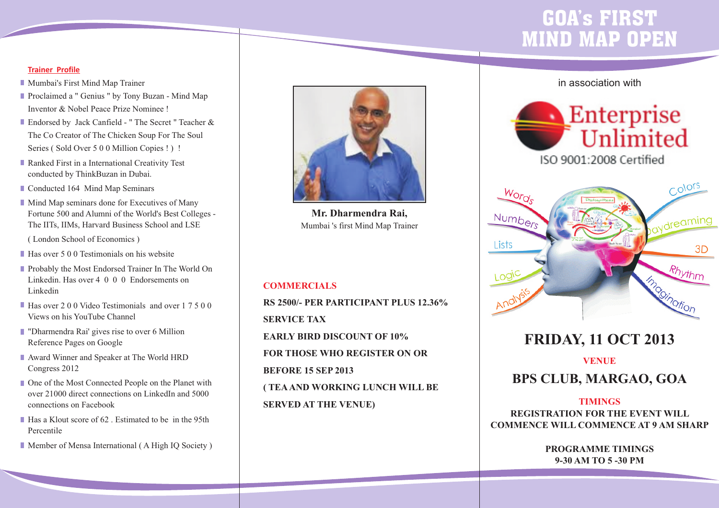# GOA's FIRST MIND MAP OPEN

#### **Trainer Profile**

- **Mumbai's First Mind Map Trainer**
- **Proclaimed a " Genius " by Tony Buzan Mind Map** Inventor & Nobel Peace Prize Nominee !
- Endorsed by Jack Canfield " The Secret " Teacher & The Co Creator of The Chicken Soup For The Soul Series (Sold Over 5 0 0 Million Copies !) !
- Ranked First in a International Creativity Test conducted by ThinkBuzan in Dubai.

Conducted 164 Mind Map Seminars

**Mind Map seminars done for Executives of Many** Fortune 500 and Alumni of the World's Best Colleges - The IITs, IIMs, Harvard Business School and LSE

( London School of Economics )

- Has over 5 0 0 Testimonials on his website
- **Probably the Most Endorsed Trainer In The World On** Linkedin. Has over 4 0 0 0 Endorsements on Linkedin
- Has over 2 0 0 Video Testimonials and over 1 7 5 0 0 Views on his YouTube Channel
- **Demokrative Tharmendra Rai' gives rise to over 6 Million** Reference Pages on Google
- Award Winner and Speaker at The World HRD Congress 2012
- One of the Most Connected People on the Planet with over 21000 direct connections on LinkedIn and 5000 connections on Facebook
- Has a Klout score of 62. Estimated to be in the 95th Percentile
- Member of Mensa International (A High IO Society)



**Mr. Dharmendra Rai,**  Mumbai 's first Mind Map Trainer

#### **COMMERCIALS**

**RS 2500/- PER PARTICIPANT PLUS 12.36% SERVICE TAX EARLY BIRD DISCOUNT OF 10% FOR THOSE WHO REGISTER ON OR BEFORE 15 SEP 2013 ( TEAAND WORKING LUNCH WILL BE SERVED AT THE VENUE)**

### in association with





## **FRIDAY, 11 OCT 2013**

**VENUE BPS CLUB, MARGAO, GOA**

#### **TIMINGS**

**REGISTRATION FOR THE EVENT WILL COMMENCE WILL COMMENCE AT 9 AM SHARP**

> **PROGRAMME TIMINGS 9-30 AM TO 5 -30 PM**